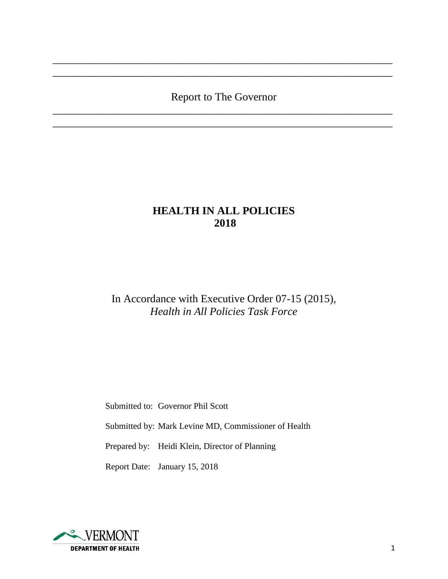# Report to The Governor \_\_\_\_\_\_\_\_\_\_\_\_\_\_\_\_\_\_\_\_\_\_\_\_\_\_\_\_\_\_\_\_\_\_\_\_\_\_\_\_\_\_\_\_\_\_\_\_\_\_\_\_\_\_\_\_\_\_\_\_\_\_

\_\_\_\_\_\_\_\_\_\_\_\_\_\_\_\_\_\_\_\_\_\_\_\_\_\_\_\_\_\_\_\_\_\_\_\_\_\_\_\_\_\_\_\_\_\_\_\_\_\_\_\_\_\_\_\_\_\_\_\_\_\_

\_\_\_\_\_\_\_\_\_\_\_\_\_\_\_\_\_\_\_\_\_\_\_\_\_\_\_\_\_\_\_\_\_\_\_\_\_\_\_\_\_\_\_\_\_\_\_\_\_\_\_\_\_\_\_\_\_\_\_\_\_\_ \_\_\_\_\_\_\_\_\_\_\_\_\_\_\_\_\_\_\_\_\_\_\_\_\_\_\_\_\_\_\_\_\_\_\_\_\_\_\_\_\_\_\_\_\_\_\_\_\_\_\_\_\_\_\_\_\_\_\_\_\_\_

# **HEALTH IN ALL POLICIES 2018**

In Accordance with Executive Order 07-15 (2015), *Health in All Policies Task Force*

Submitted to: Governor Phil Scott

Submitted by: Mark Levine MD, Commissioner of Health

Prepared by: Heidi Klein, Director of Planning

Report Date: January 15, 2018

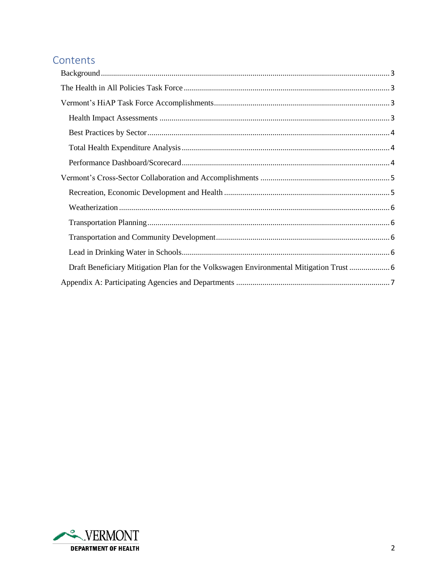# Contents

| Draft Beneficiary Mitigation Plan for the Volkswagen Environmental Mitigation Trust  6 |
|----------------------------------------------------------------------------------------|
|                                                                                        |

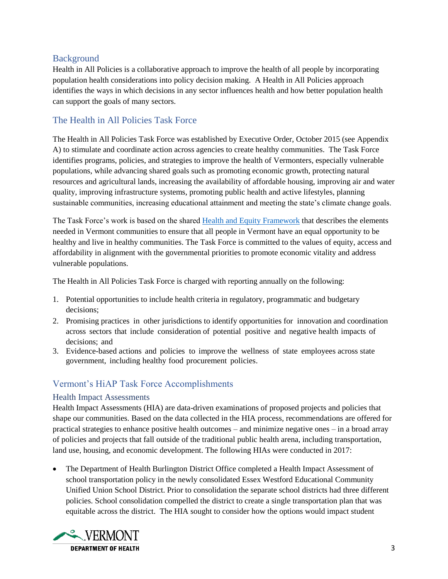## <span id="page-2-0"></span>Background

Health in All Policies is a collaborative approach to improve the health of all people by incorporating population health considerations into policy decision making. A Health in All Policies approach identifies the ways in which decisions in any sector influences health and how better population health can support the goals of many sectors.

## <span id="page-2-1"></span>The Health in All Policies Task Force

The Health in All Policies Task Force was established by Executive Order, October 2015 (see Appendix A) to stimulate and coordinate action across agencies to create healthy communities. The Task Force identifies programs, policies, and strategies to improve the health of Vermonters, especially vulnerable populations, while advancing shared goals such as promoting economic growth, protecting natural resources and agricultural lands, increasing the availability of affordable housing, improving air and water quality, improving infrastructure systems, promoting public health and active lifestyles, planning sustainable communities, increasing educational attainment and meeting the state's climate change goals.

The Task Force's work is based on the shared [Health and Equity Framework](http://www.healthvermont.gov/sites/default/files/documents/2017/03/ADM_Determinants_Equity.pdf) that describes the elements needed in Vermont communities to ensure that all people in Vermont have an equal opportunity to be healthy and live in healthy communities. The Task Force is committed to the values of equity, access and affordability in alignment with the governmental priorities to promote economic vitality and address vulnerable populations.

The Health in All Policies Task Force is charged with reporting annually on the following:

- 1. Potential opportunities to include health criteria in regulatory, programmatic and budgetary decisions;
- 2. Promising practices in other jurisdictions to identify opportunities for innovation and coordination across sectors that include consideration of potential positive and negative health impacts of decisions; and
- 3. Evidence-based actions and policies to improve the wellness of state employees across state government, including healthy food procurement policies.

## <span id="page-2-2"></span>Vermont's HiAP Task Force Accomplishments

### <span id="page-2-3"></span>Health Impact Assessments

Health Impact Assessments (HIA) are data-driven examinations of proposed projects and policies that shape our communities. Based on the data collected in the HIA process, recommendations are offered for practical strategies to enhance positive health outcomes – and minimize negative ones – in a broad array of policies and projects that fall outside of the traditional public health arena, including transportation, land use, housing, and economic development. The following HIAs were conducted in 2017:

• The Department of Health Burlington District Office completed a Health Impact Assessment of school transportation policy in the newly consolidated Essex Westford Educational Community Unified Union School District. Prior to consolidation the separate school districts had three different policies. School consolidation compelled the district to create a single transportation plan that was equitable across the district. The HIA sought to consider how the options would impact student

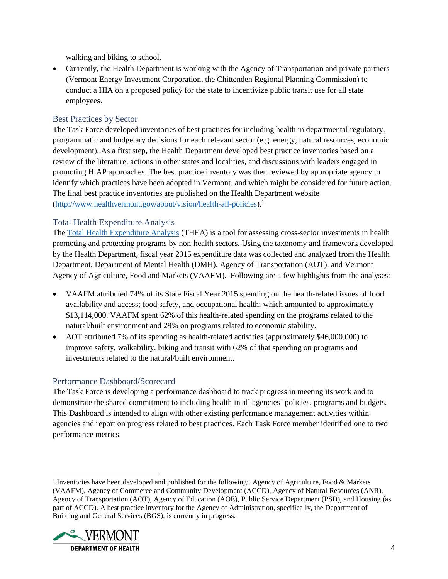walking and biking to school.

• Currently, the Health Department is working with the Agency of Transportation and private partners (Vermont Energy Investment Corporation, the Chittenden Regional Planning Commission) to conduct a HIA on a proposed policy for the state to incentivize public transit use for all state employees.

### <span id="page-3-0"></span>Best Practices by Sector

The Task Force developed inventories of best practices for including health in departmental regulatory, programmatic and budgetary decisions for each relevant sector (e.g. energy, natural resources, economic development). As a first step, the Health Department developed best practice inventories based on a review of the literature, actions in other states and localities, and discussions with leaders engaged in promoting HiAP approaches. The best practice inventory was then reviewed by appropriate agency to identify which practices have been adopted in Vermont, and which might be considered for future action. The final best practice inventories are published on the Health Department website [\(http://www.healthvermont.gov/about/vision/health-all-policies\)](http://www.healthvermont.gov/about/vision/health-all-policies).<sup>1</sup>

### <span id="page-3-1"></span>Total Health Expenditure Analysis

The [Total Health Expenditure Analysis](http://www.healthvermont.gov/about-us/our-vision-mission/building-culture-health) (THEA) is a tool for assessing cross-sector investments in health promoting and protecting programs by non-health sectors. Using the taxonomy and framework developed by the Health Department, fiscal year 2015 expenditure data was collected and analyzed from the Health Department, Department of Mental Health (DMH), Agency of Transportation (AOT), and Vermont Agency of Agriculture, Food and Markets (VAAFM). Following are a few highlights from the analyses:

- VAAFM attributed 74% of its State Fiscal Year 2015 spending on the health-related issues of food availability and access; food safety, and occupational health; which amounted to approximately \$13,114,000. VAAFM spent 62% of this health-related spending on the programs related to the natural/built environment and 29% on programs related to economic stability.
- AOT attributed 7% of its spending as health-related activities (approximately \$46,000,000) to improve safety, walkability, biking and transit with 62% of that spending on programs and investments related to the natural/built environment.

### <span id="page-3-2"></span>Performance Dashboard/Scorecard

The Task Force is developing a performance dashboard to track progress in meeting its work and to demonstrate the shared commitment to including health in all agencies' policies, programs and budgets. This Dashboard is intended to align with other existing performance management activities within agencies and report on progress related to best practices. Each Task Force member identified one to two performance metrics.

<sup>&</sup>lt;sup>1</sup> Inventories have been developed and published for the following: Agency of Agriculture, Food & Markets (VAAFM), Agency of Commerce and Community Development (ACCD), Agency of Natural Resources (ANR), Agency of Transportation (AOT), Agency of Education (AOE), Public Service Department (PSD), and Housing (as part of ACCD). A best practice inventory for the Agency of Administration, specifically, the Department of Building and General Services (BGS), is currently in progress.



 $\overline{\phantom{a}}$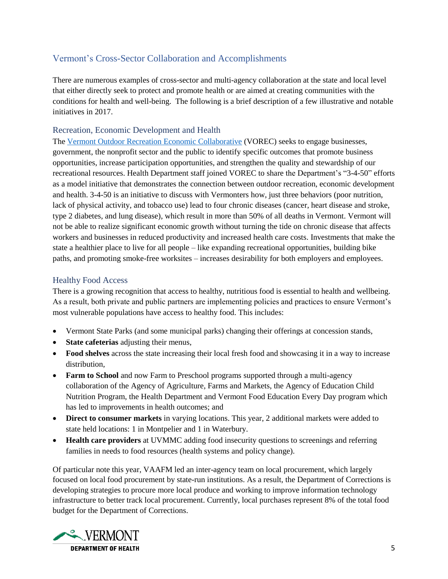# <span id="page-4-0"></span>Vermont's Cross-Sector Collaboration and Accomplishments

There are numerous examples of cross-sector and multi-agency collaboration at the state and local level that either directly seek to protect and promote health or are aimed at creating communities with the conditions for health and well-being. The following is a brief description of a few illustrative and notable initiatives in 2017.

### <span id="page-4-1"></span>Recreation, Economic Development and Health

The [Vermont Outdoor Recreation Economic Collaborative](http://fpr.vermont.gov/VOREC) (VOREC) seeks to engage businesses, government, the nonprofit sector and the public to identify specific outcomes that promote business opportunities, increase participation opportunities, and strengthen the quality and stewardship of our recreational resources. Health Department staff joined VOREC to share the Department's "3-4-50" efforts as a model initiative that demonstrates the connection between outdoor recreation, economic development and health. 3-4-50 is an initiative to discuss with Vermonters how, just three behaviors (poor nutrition, lack of physical activity, and tobacco use) lead to four chronic diseases (cancer, heart disease and stroke, type 2 diabetes, and lung disease), which result in more than 50% of all deaths in Vermont. Vermont will not be able to realize significant economic growth without turning the tide on chronic disease that affects workers and businesses in reduced productivity and increased health care costs. Investments that make the state a healthier place to live for all people – like expanding recreational opportunities, building bike paths, and promoting smoke-free worksites – increases desirability for both employers and employees.

### Healthy Food Access

There is a growing recognition that access to healthy, nutritious food is essential to health and wellbeing. As a result, both private and public partners are implementing policies and practices to ensure Vermont's most vulnerable populations have access to healthy food. This includes:

- Vermont State Parks (and some municipal parks) changing their offerings at concession stands,
- **State cafeterias** adjusting their menus,
- **Food shelves** across the state increasing their local fresh food and showcasing it in a way to increase distribution,
- **Farm to School** and now Farm to Preschool programs supported through a multi-agency collaboration of the Agency of Agriculture, Farms and Markets, the Agency of Education Child Nutrition Program, the Health Department and Vermont Food Education Every Day program which has led to improvements in health outcomes; and
- **Direct to consumer markets** in varying locations. This year, 2 additional markets were added to state held locations: 1 in Montpelier and 1 in Waterbury.
- **Health care providers** at UVMMC adding food insecurity questions to screenings and referring families in needs to food resources (health systems and policy change).

Of particular note this year, VAAFM led an inter-agency team on local procurement, which largely focused on local food procurement by state-run institutions. As a result, the Department of Corrections is developing strategies to procure more local produce and working to improve information technology infrastructure to better track local procurement. Currently, local purchases represent 8% of the total food budget for the Department of Corrections.

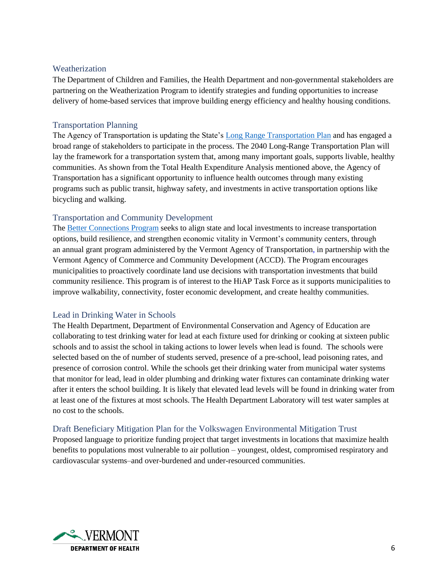### <span id="page-5-0"></span>**Weatherization**

The Department of Children and Families, the Health Department and non-governmental stakeholders are partnering on the Weatherization Program to identify strategies and funding opportunities to increase delivery of home-based services that improve building energy efficiency and healthy housing conditions.

### <span id="page-5-1"></span>Transportation Planning

The Agency of Transportation is updating the State's [Long Range Transportation Plan](http://vtrans.vermont.gov/planning/long-range-plan) and has engaged a broad range of stakeholders to participate in the process. The 2040 Long-Range Transportation Plan will lay the framework for a transportation system that, among many important goals, supports livable, healthy communities. As shown from the Total Health Expenditure Analysis mentioned above, the Agency of Transportation has a significant opportunity to influence health outcomes through many existing programs such as public transit, highway safety, and investments in active transportation options like bicycling and walking.

### <span id="page-5-2"></span>Transportation and Community Development

The [Better Connections Program](http://vtrans.vermont.gov/planning/projects-programs/better-connections) seeks to align state and local investments to increase transportation options, build resilience, and strengthen economic vitality in Vermont's community centers, through an annual grant program administered by the Vermont Agency of Transportation, in partnership with the Vermont Agency of Commerce and Community Development (ACCD). The Program encourages municipalities to proactively coordinate land use decisions with transportation investments that build community resilience. This program is of interest to the HiAP Task Force as it supports municipalities to improve walkability, connectivity, foster economic development, and create healthy communities.

### <span id="page-5-3"></span>Lead in Drinking Water in Schools

The Health Department, Department of Environmental Conservation and Agency of Education are collaborating to test drinking water for lead at each fixture used for drinking or cooking at sixteen public schools and to assist the school in taking actions to lower levels when lead is found. The schools were selected based on the of number of students served, presence of a pre-school, lead poisoning rates, and presence of corrosion control. While the schools get their drinking water from municipal water systems that monitor for lead, lead in older plumbing and drinking water fixtures can contaminate drinking water after it enters the school building. It is likely that elevated lead levels will be found in drinking water from at least one of the fixtures at most schools. The Health Department Laboratory will test water samples at no cost to the schools.

### <span id="page-5-4"></span>Draft Beneficiary Mitigation Plan for the Volkswagen Environmental Mitigation Trust

Proposed language to prioritize funding project that target investments in locations that maximize health benefits to populations most vulnerable to air pollution – youngest, oldest, compromised respiratory and cardiovascular systems–and over-burdened and under-resourced communities.